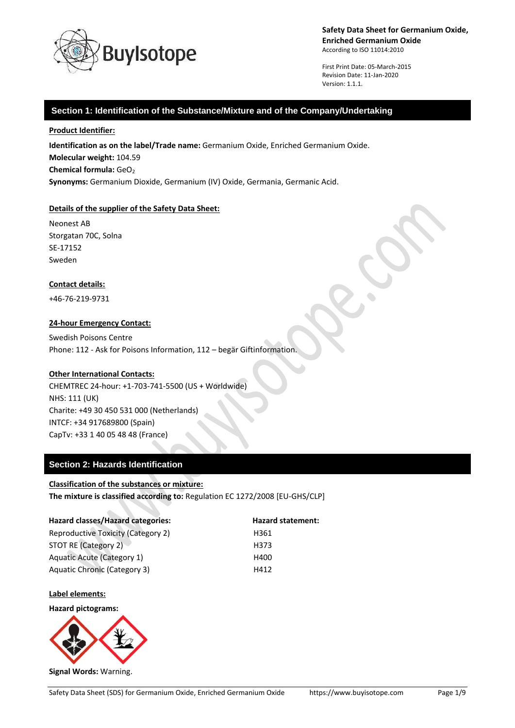

First Print Date: 05-March-2015 Revision Date: 11-Jan-2020 Version: 1.1.1.

# **Section 1: Identification of the Substance/Mixture and of the Company/Undertaking**

**Product Identifier:**

**Identification as on the label/Trade name:** Germanium Oxide, Enriched Germanium Oxide. **Molecular weight:** 104.59 **Chemical formula: GeO<sub>2</sub> Synonyms:** Germanium Dioxide, Germanium (IV) Oxide, Germania, Germanic Acid.

#### **Details of the supplier of the Safety Data Sheet:**

Neonest AB Storgatan 70C, Solna SE-17152 Sweden

#### **Contact details:**

+46-76-219-9731

#### **24-hour Emergency Contact:**

Swedish Poisons Centre Phone: 112 - Ask for Poisons Information, 112 – begär Giftinformation.

#### **Other International Contacts:**

CHEMTREC 24-hour: +1-703-741-5500 (US + Worldwide) NHS: 111 (UK) Charite: +49 30 450 531 000 (Netherlands) INTCF: +34 917689800 (Spain) CapTv: +33 1 40 05 48 48 (France)

# **Section 2: Hazards Identification**

#### **Classification of the substances or mixture:**

**The mixture is classified according to:** Regulation EC 1272/2008 [EU-GHS/CLP]

| Hazard classes/Hazard categories:         | <b>Hazard statement:</b> |
|-------------------------------------------|--------------------------|
| <b>Reproductive Toxicity (Category 2)</b> | H361                     |
| STOT RE (Category 2)                      | H373                     |
| <b>Aquatic Acute (Category 1)</b>         | H400                     |
| <b>Aquatic Chronic (Category 3)</b>       | H412                     |

**Label elements:**

**Hazard pictograms:**



**Signal Words:** Warning.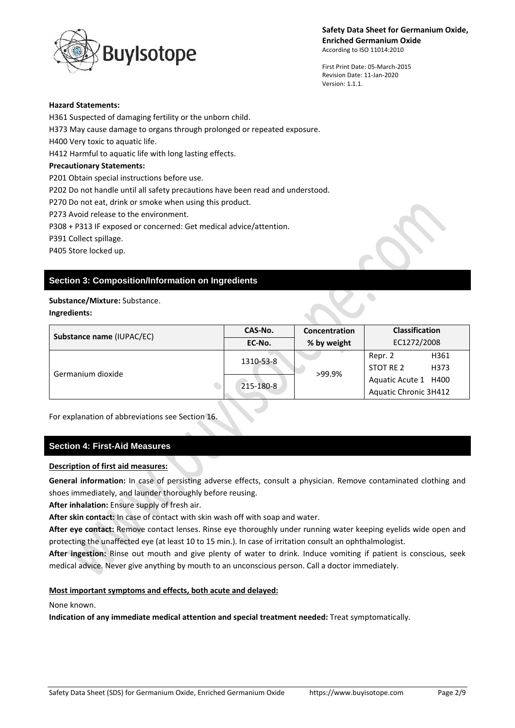uylsotope

First Print Date: 05-March-2015 Revision Date: 11-Jan-2020 Version: 1.1.1.

#### **Hazard Statements:**

H361 Suspected of damaging fertility or the unborn child.

H373 May cause damage to organs through prolonged or repeated exposure.

H400 Very toxic to aquatic life.

H412 Harmful to aquatic life with long lasting effects.

## **Precautionary Statements:**

P201 Obtain special instructions before use.

P202 Do not handle until all safety precautions have been read and understood.

P270 Do not eat, drink or smoke when using this product.

P273 Avoid release to the environment.

P308 + P313 IF exposed or concerned: Get medical advice/attention.

P391 Collect spillage.

P405 Store locked up.

# **Section 3: Composition/Information on Ingredients**

## **Substance/Mixture:** Substance.

## **Ingredients:**

| Substance name (IUPAC/EC) | CAS-No.   | Concentration | <b>Classification</b>                         |
|---------------------------|-----------|---------------|-----------------------------------------------|
|                           | EC-No.    | % by weight   | EC1272/2008                                   |
| Germanium dioxide         | 1310-53-8 | >99.9%        | H361<br>Repr. 2<br>STOT RE 2<br>H373          |
|                           | 215-180-8 |               | Aquatic Acute 1 H400<br>Aquatic Chronic 3H412 |

For explanation of abbreviations see Section 16.

# **Section 4: First-Aid Measures**

# **Description of first aid measures:**

**General information:** In case of persisting adverse effects, consult a physician. Remove contaminated clothing and shoes immediately, and launder thoroughly before reusing.

**After inhalation:** Ensure supply of fresh air.

**After skin contact:** In case of contact with skin wash off with soap and water.

**After eye contact:** Remove contact lenses. Rinse eye thoroughly under running water keeping eyelids wide open and protecting the unaffected eye (at least 10 to 15 min.). In case of irritation consult an ophthalmologist.

**After ingestion:** Rinse out mouth and give plenty of water to drink. Induce vomiting if patient is conscious, seek medical advice. Never give anything by mouth to an unconscious person. Call a doctor immediately.

# **Most important symptoms and effects, both acute and delayed:**

None known.

**Indication of any immediate medical attention and special treatment needed:** Treat symptomatically.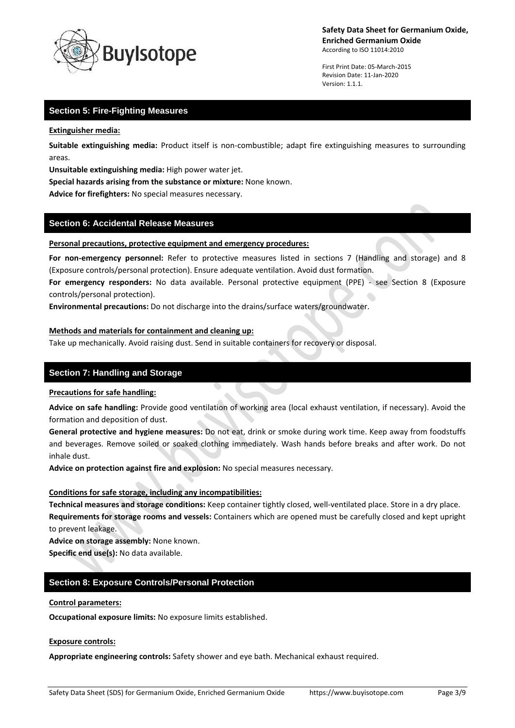

First Print Date: 05-March-2015 Revision Date: 11-Jan-2020 Version: 1.1.1.

# **Section 5: Fire-Fighting Measures**

**Extinguisher media:**

**Suitable extinguishing media:** Product itself is non-combustible; adapt fire extinguishing measures to surrounding areas.

**Unsuitable extinguishing media:** High power water jet.

**Special hazards arising from the substance or mixture:** None known.

**Advice for firefighters:** No special measures necessary.

## **Section 6: Accidental Release Measures**

#### **Personal precautions, protective equipment and emergency procedures:**

**For non-emergency personnel:** Refer to protective measures listed in sections 7 (Handling and storage) and 8 (Exposure controls/personal protection). Ensure adequate ventilation. Avoid dust formation.

**For emergency responders:** No data available. Personal protective equipment (PPE) - see Section 8 (Exposure controls/personal protection).

**Environmental precautions:** Do not discharge into the drains/surface waters/groundwater.

#### **Methods and materials for containment and cleaning up:**

Take up mechanically. Avoid raising dust. Send in suitable containers for recovery or disposal.

# **Section 7: Handling and Storage**

#### **Precautions for safe handling:**

**Advice on safe handling:** Provide good ventilation of working area (local exhaust ventilation, if necessary). Avoid the formation and deposition of dust.

**General protective and hygiene measures:** Do not eat, drink or smoke during work time. Keep away from foodstuffs and beverages. Remove soiled or soaked clothing immediately. Wash hands before breaks and after work. Do not inhale dust.

**Advice on protection against fire and explosion:** No special measures necessary.

#### **Conditions for safe storage, including any incompatibilities:**

**Technical measures and storage conditions:** Keep container tightly closed, well-ventilated place. Store in a dry place. **Requirements for storage rooms and vessels:** Containers which are opened must be carefully closed and kept upright to prevent leakage.

**Advice on storage assembly:** None known.

**Specific end use(s):** No data available.

# **Section 8: Exposure Controls/Personal Protection**

#### **Control parameters:**

**Occupational exposure limits:** No exposure limits established.

#### **Exposure controls:**

**Appropriate engineering controls:** Safety shower and eye bath. Mechanical exhaust required.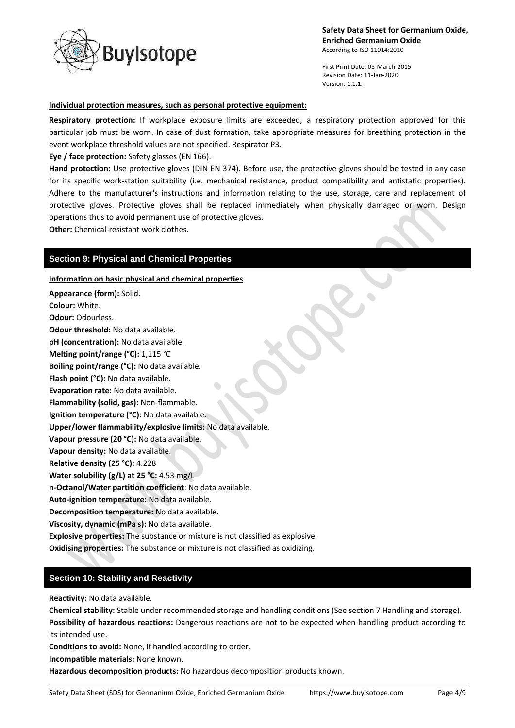

First Print Date: 05-March-2015 Revision Date: 11-Jan-2020 Version: 1.1.1.

#### **Individual protection measures, such as personal protective equipment:**

**Respiratory protection:** If workplace exposure limits are exceeded, a respiratory protection approved for this particular job must be worn. In case of dust formation, take appropriate measures for breathing protection in the event workplace threshold values are not specified. Respirator P3.

**Eye / face protection:** Safety glasses (EN 166).

**Hand protection:** Use protective gloves (DIN EN 374). Before use, the protective gloves should be tested in any case for its specific work-station suitability (i.e. mechanical resistance, product compatibility and antistatic properties). Adhere to the manufacturer's instructions and information relating to the use, storage, care and replacement of protective gloves. Protective gloves shall be replaced immediately when physically damaged or worn. Design operations thus to avoid permanent use of protective gloves.

**Other:** Chemical-resistant work clothes.

# **Section 9: Physical and Chemical Properties**

**Information on basic physical and chemical properties**

**Appearance (form):** Solid.

**Colour:** White.

**Odour:** Odourless.

**Odour threshold:** No data available.

**pH (concentration):** No data available.

**Melting point/range (°C):** 1,115 °C

**Boiling point/range (°C):** No data available.

**Flash point (°C):** No data available.

**Evaporation rate:** No data available.

**Flammability (solid, gas):** Non-flammable.

**Ignition temperature (°C):** No data available.

**Upper/lower flammability/explosive limits:** No data available.

**Vapour pressure (20 °C):** No data available.

**Vapour density:** No data available.

**Relative density (25 °C):** 4.228

**Water solubility (g/L) at 25 °C:** 4.53 mg/L

**n-Octanol/Water partition coefficient**: No data available.

**Auto-ignition temperature:** No data available.

**Decomposition temperature:** No data available.

**Viscosity, dynamic (mPa s):** No data available.

**Explosive properties:** The substance or mixture is not classified as explosive.

**Oxidising properties:** The substance or mixture is not classified as oxidizing.

# **Section 10: Stability and Reactivity**

**Reactivity:** No data available.

**Chemical stability:** Stable under recommended storage and handling conditions (See section 7 Handling and storage). **Possibility of hazardous reactions:** Dangerous reactions are not to be expected when handling product according to its intended use.

**Conditions to avoid:** None, if handled according to order.

**Incompatible materials:** None known.

**Hazardous decomposition products:** No hazardous decomposition products known.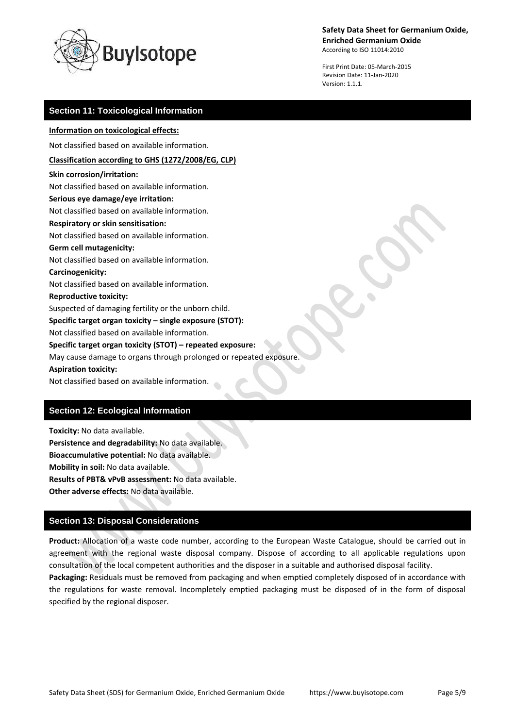

**Safety Data Sheet for Germanium Oxide, Enriched Germanium Oxide**

According to ISO 11014:2010

First Print Date: 05-March-2015 Revision Date: 11-Jan-2020 Version: 1.1.1.

# **Section 11: Toxicological Information**

#### **Information on toxicological effects:**

Not classified based on available information.

#### **Classification according to GHS (1272/2008/EG, CLP)**

**Skin corrosion/irritation:**

Not classified based on available information.

# **Serious eye damage/eye irritation:**

Not classified based on available information.

# **Respiratory or skin sensitisation:**

Not classified based on available information.

#### **Germ cell mutagenicity:**

Not classified based on available information.

#### **Carcinogenicity:**

Not classified based on available information.

#### **Reproductive toxicity:**

Suspected of damaging fertility or the unborn child.

#### **Specific target organ toxicity – single exposure (STOT):**

Not classified based on available information.

## **Specific target organ toxicity (STOT) – repeated exposure:**

May cause damage to organs through prolonged or repeated exposure.

#### **Aspiration toxicity:**

Not classified based on available information.

# **Section 12: Ecological Information**

**Toxicity:** No data available. **Persistence and degradability:** No data available. **Bioaccumulative potential:** No data available. **Mobility in soil:** No data available. **Results of PBT& vPvB assessment:** No data available. **Other adverse effects:** No data available.

# **Section 13: Disposal Considerations**

**Product:** Allocation of a waste code number, according to the European Waste Catalogue, should be carried out in agreement with the regional waste disposal company. Dispose of according to all applicable regulations upon consultation of the local competent authorities and the disposer in a suitable and authorised disposal facility.

**Packaging:** Residuals must be removed from packaging and when emptied completely disposed of in accordance with the regulations for waste removal. Incompletely emptied packaging must be disposed of in the form of disposal specified by the regional disposer.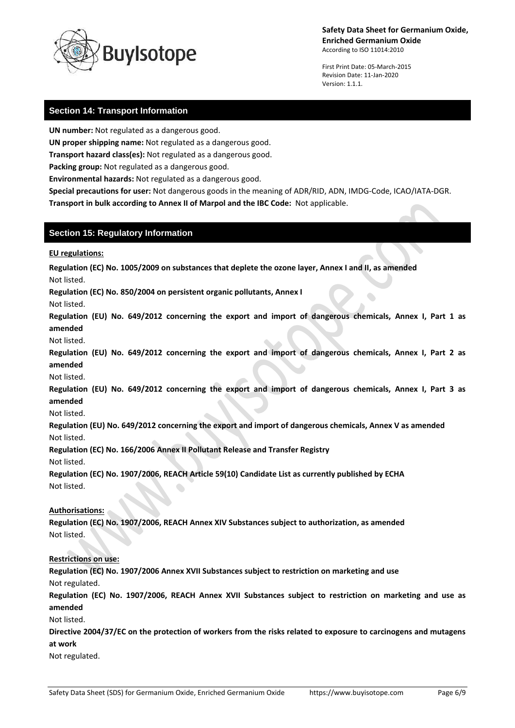# **Safety Data Sheet for Germanium Oxide, Enriched Germanium Oxide**

According to ISO 11014:2010

First Print Date: 05-March-2015 Revision Date: 11-Jan-2020 Version: 1.1.1.

# **Section 14: Transport Information**

**UN number:** Not regulated as a dangerous good.

**UN proper shipping name:** Not regulated as a dangerous good.

**ylsotope** 

**Transport hazard class(es):** Not regulated as a dangerous good.

**Packing group:** Not regulated as a dangerous good.

**Environmental hazards:** Not regulated as a dangerous good.

**Special precautions for user:** Not dangerous goods in the meaning of ADR/RID, ADN, IMDG-Code, ICAO/IATA-DGR. **Transport in bulk according to Annex II of Marpol and the IBC Code:** Not applicable.

# **Section 15: Regulatory Information**

**EU regulations:**

**Regulation (EC) No. 1005/2009 on substances that deplete the ozone layer, Annex I and II, as amended**

Not listed.

**Regulation (EC) No. 850/2004 on persistent organic pollutants, Annex I**

Not listed.

**Regulation (EU) No. 649/2012 concerning the export and import of dangerous chemicals, Annex I, Part 1 as amended**

Not listed.

**Regulation (EU) No. 649/2012 concerning the export and import of dangerous chemicals, Annex I, Part 2 as amended**

Not listed.

**Regulation (EU) No. 649/2012 concerning the export and import of dangerous chemicals, Annex I, Part 3 as amended**

Not listed.

**Regulation (EU) No. 649/2012 concerning the export and import of dangerous chemicals, Annex V as amended** Not listed.

**Regulation (EC) No. 166/2006 Annex II Pollutant Release and Transfer Registry**

Not listed.

**Regulation (EC) No. 1907/2006, REACH Article 59(10) Candidate List as currently published by ECHA** Not listed.

# **Authorisations:**

**Regulation (EC) No. 1907/2006, REACH Annex XIV Substances subject to authorization, as amended** Not listed.

# **Restrictions on use:**

**Regulation (EC) No. 1907/2006 Annex XVII Substances subject to restriction on marketing and use** Not regulated.

**Regulation (EC) No. 1907/2006, REACH Annex XVII Substances subject to restriction on marketing and use as amended**

Not listed.

**Directive 2004/37/EC on the protection of workers from the risks related to exposure to carcinogens and mutagens at work**

Not regulated.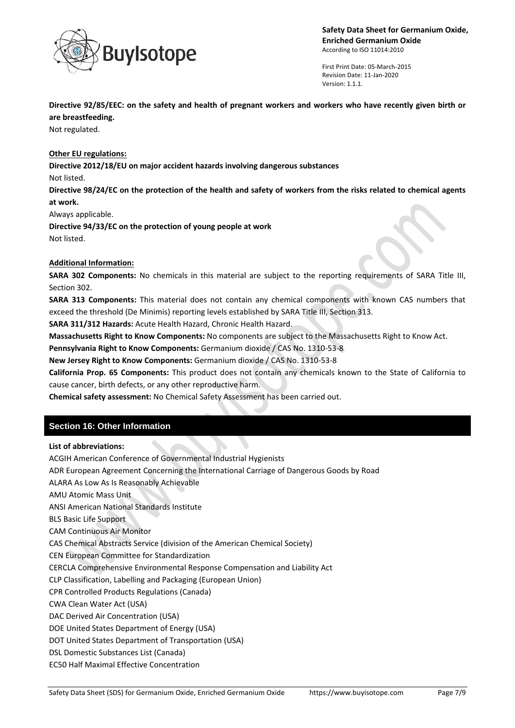

First Print Date: 05-March-2015 Revision Date: 11-Jan-2020 Version: 1.1.1.

**Directive 92/85/EEC: on the safety and health of pregnant workers and workers who have recently given birth or are breastfeeding.**

Not regulated.

# **Other EU regulations:**

**Directive 2012/18/EU on major accident hazards involving dangerous substances**

Not listed.

**Directive 98/24/EC on the protection of the health and safety of workers from the risks related to chemical agents at work.**

Always applicable.

**Directive 94/33/EC on the protection of young people at work** Not listed.

## **Additional Information:**

**SARA 302 Components:** No chemicals in this material are subject to the reporting requirements of SARA Title III, Section 302.

**SARA 313 Components:** This material does not contain any chemical components with known CAS numbers that exceed the threshold (De Minimis) reporting levels established by SARA Title III, Section 313.

**SARA 311/312 Hazards:** Acute Health Hazard, Chronic Health Hazard.

**Massachusetts Right to Know Components:** No components are subject to the Massachusetts Right to Know Act.

**Pennsylvania Right to Know Components:** Germanium dioxide / CAS No. 1310-53-8

**New Jersey Right to Know Components:** Germanium dioxide / CAS No. 1310-53-8

**California Prop. 65 Components:** This product does not contain any chemicals known to the State of California to cause cancer, birth defects, or any other reproductive harm.

**Chemical safety assessment:** No Chemical Safety Assessment has been carried out.

# **Section 16: Other Information**

#### **List of abbreviations:**

ACGIH American Conference of Governmental Industrial Hygienists

ADR European Agreement Concerning the International Carriage of Dangerous Goods by Road

ALARA As Low As Is Reasonably Achievable

AMU Atomic Mass Unit

ANSI American National Standards Institute

BLS Basic Life Support

CAM Continuous Air Monitor

CAS Chemical Abstracts Service (division of the American Chemical Society)

CEN European Committee for Standardization

CERCLA Comprehensive Environmental Response Compensation and Liability Act

CLP Classification, Labelling and Packaging (European Union)

CPR Controlled Products Regulations (Canada)

CWA Clean Water Act (USA)

DAC Derived Air Concentration (USA)

DOE United States Department of Energy (USA)

DOT United States Department of Transportation (USA)

DSL Domestic Substances List (Canada)

EC50 Half Maximal Effective Concentration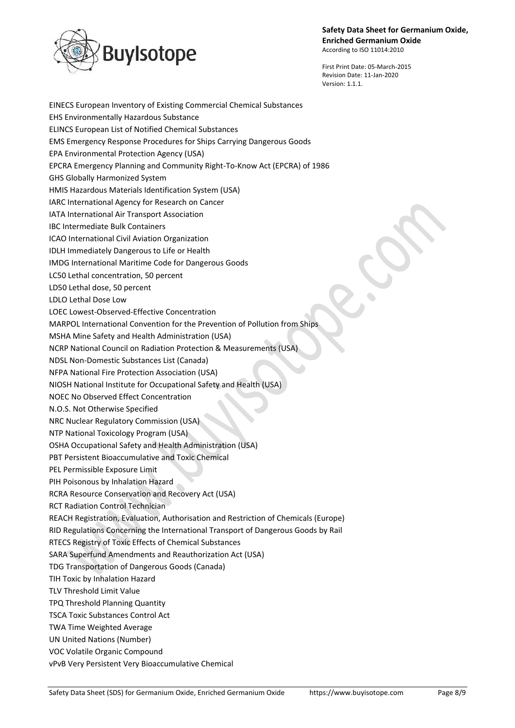

First Print Date: 05-March-2015 Revision Date: 11-Jan-2020 Version: 1.1.1.

EINECS European Inventory of Existing Commercial Chemical Substances EHS Environmentally Hazardous Substance ELINCS European List of Notified Chemical Substances EMS Emergency Response Procedures for Ships Carrying Dangerous Goods EPA Environmental Protection Agency (USA) EPCRA Emergency Planning and Community Right-To-Know Act (EPCRA) of 1986 GHS Globally Harmonized System HMIS Hazardous Materials Identification System (USA) IARC International Agency for Research on Cancer IATA International Air Transport Association IBC Intermediate Bulk Containers ICAO International Civil Aviation Organization IDLH Immediately Dangerous to Life or Health IMDG International Maritime Code for Dangerous Goods LC50 Lethal concentration, 50 percent LD50 Lethal dose, 50 percent LDLO Lethal Dose Low LOEC Lowest-Observed-Effective Concentration MARPOL International Convention for the Prevention of Pollution from Ships MSHA Mine Safety and Health Administration (USA) NCRP National Council on Radiation Protection & Measurements (USA) NDSL Non-Domestic Substances List (Canada) NFPA National Fire Protection Association (USA) NIOSH National Institute for Occupational Safety and Health (USA) NOEC No Observed Effect Concentration N.O.S. Not Otherwise Specified NRC Nuclear Regulatory Commission (USA) NTP National Toxicology Program (USA) OSHA Occupational Safety and Health Administration (USA) PBT Persistent Bioaccumulative and Toxic Chemical PEL Permissible Exposure Limit PIH Poisonous by Inhalation Hazard RCRA Resource Conservation and Recovery Act (USA) RCT Radiation Control Technician REACH Registration, Evaluation, Authorisation and Restriction of Chemicals (Europe) RID Regulations Concerning the International Transport of Dangerous Goods by Rail RTECS Registry of Toxic Effects of Chemical Substances SARA Superfund Amendments and Reauthorization Act (USA) TDG Transportation of Dangerous Goods (Canada) TIH Toxic by Inhalation Hazard TLV Threshold Limit Value TPQ Threshold Planning Quantity TSCA Toxic Substances Control Act TWA Time Weighted Average UN United Nations (Number) VOC Volatile Organic Compound vPvB Very Persistent Very Bioaccumulative Chemical